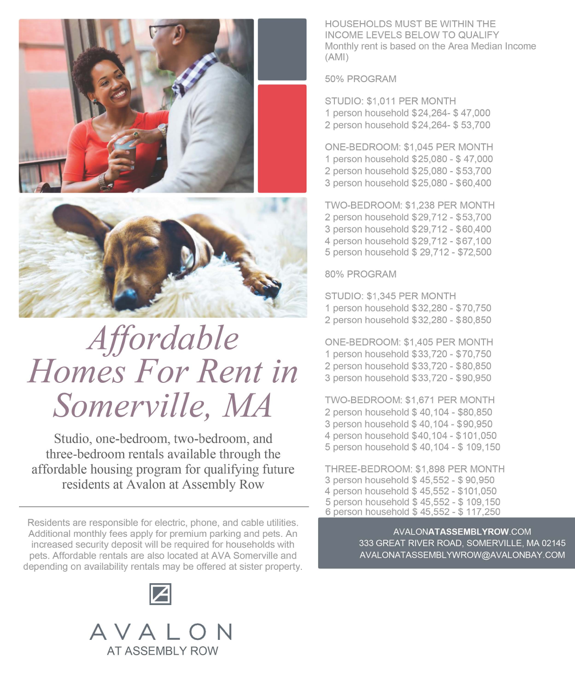



## *Affordable Homes For Rent in Somerville, MA*

Studio, one-bedroom, two-bedroom, and three-bedroom rentals available through the affordable housing program for qualifying future residents at Avalon at Assembly Row

Residents are responsible for electric, phone, and cable utilities. Additional monthly fees apply for premium parking and pets. An increased security deposit will be required for households with pets. Affordable rentals are also located at AVA Somerville and depending on availability rentals may be offered at sister property.





HOUSEHOLDS MUST BE WITHIN THE INCOME LEVELS BELOW TO QUALIFY Monthly rent is based on the Area Median Income (AMI)

50% PROGRAM

STUDIO: \$1,011 PER MONTH 1 person household \$24,264- \$47,000 2 person household \$24,264- \$ 53,700

ONE-BEDROOM: \$1,045 PER MONTH 1 person household \$25,080 - \$47,000 2 person household \$25,080 - \$53,700 3 person household \$25,080 - \$60,400

TWO-BEDROOM: \$1,238 PER MONTH 2 person household \$29,712 - \$53,700 3 person household \$29,712 - \$60,400 4 person household \$29,712 - \$67,100 5 person household \$ 29,712 - \$72,500

80% PROGRAM

STUDIO: \$1,345 PER MONTH 1 person household \$32,280 - \$70,750 2 person household \$32,280 - \$80,850

ONE-BEDROOM: \$1,405 PER MONTH 1 person household \$33,720 - \$70,750 2 person household \$33,720 - \$80,850 3 person household \$33,720 - \$90,950

TWO-BEDROOM: \$1,671 PER MONTH 2 person household \$ 40,104 - \$80,850 3 person household \$40,104 - \$90,950 4 person household \$40,104 - \$101,050 5 person household \$ 40,104 - \$ 109,150

**THREE-BEDROOM: \$1,898 PER MONTH**  3 person household \$ 45,552 - \$ 90,950 4 person household\$ 45,552 - \$101,050 5 person household \$ 45,552 - \$ 109,150 6 person household\$ 45,552 - \$117,250

> **[AVALONATASSEMBLYROW.COM](https://AVALONATASSEMBLYROW.COM)**  333 GREAT RIVER ROAD, SOMERVILLE, MA 02145 [AVALONATASSEMBLYWROW@AVALONBAY.COM](mailto:AVALONATASSEMBLYWROW@AVALONBAY.COM)